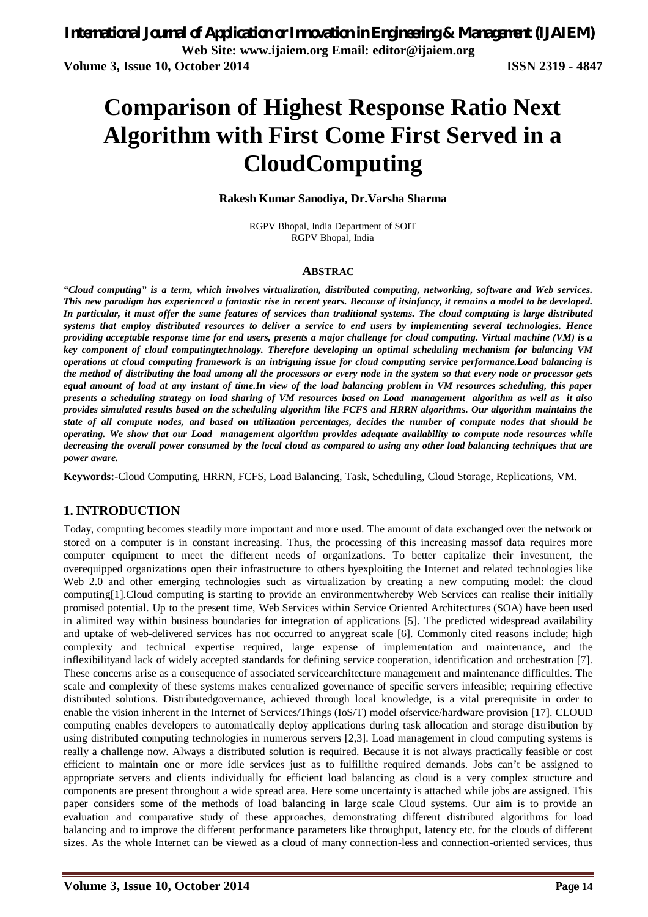# **Comparison of Highest Response Ratio Next Algorithm with First Come First Served in a CloudComputing**

#### **Rakesh Kumar Sanodiya, Dr.Varsha Sharma**

RGPV Bhopal, India Department of SOIT RGPV Bhopal, India

#### **ABSTRAC**

*"Cloud computing" is a term, which involves virtualization, distributed computing, networking, software and Web services. This new paradigm has experienced a fantastic rise in recent years. Because of itsinfancy, it remains a model to be developed. In particular, it must offer the same features of services than traditional systems. The cloud computing is large distributed systems that employ distributed resources to deliver a service to end users by implementing several technologies. Hence providing acceptable response time for end users, presents a major challenge for cloud computing. Virtual machine (VM) is a key component of cloud computingtechnology. Therefore developing an optimal scheduling mechanism for balancing VM operations at cloud computing framework is an intriguing issue for cloud computing service performance.Load balancing is the method of distributing the load among all the processors or every node in the system so that every node or processor gets equal amount of load at any instant of time.In view of the load balancing problem in VM resources scheduling, this paper presents a scheduling strategy on load sharing of VM resources based on Load management algorithm as well as it also provides simulated results based on the scheduling algorithm like FCFS and HRRN algorithms. Our algorithm maintains the state of all compute nodes, and based on utilization percentages, decides the number of compute nodes that should be operating. We show that our Load management algorithm provides adequate availability to compute node resources while decreasing the overall power consumed by the local cloud as compared to using any other load balancing techniques that are power aware.*

**Keywords:-**Cloud Computing, HRRN, FCFS, Load Balancing, Task, Scheduling, Cloud Storage, Replications, VM.

#### **1. INTRODUCTION**

Today, computing becomes steadily more important and more used. The amount of data exchanged over the network or stored on a computer is in constant increasing. Thus, the processing of this increasing massof data requires more computer equipment to meet the different needs of organizations. To better capitalize their investment, the overequipped organizations open their infrastructure to others byexploiting the Internet and related technologies like Web 2.0 and other emerging technologies such as virtualization by creating a new computing model: the cloud computing[1].Cloud computing is starting to provide an environmentwhereby Web Services can realise their initially promised potential. Up to the present time, Web Services within Service Oriented Architectures (SOA) have been used in alimited way within business boundaries for integration of applications [5]. The predicted widespread availability and uptake of web-delivered services has not occurred to anygreat scale [6]. Commonly cited reasons include; high complexity and technical expertise required, large expense of implementation and maintenance, and the inflexibilityand lack of widely accepted standards for defining service cooperation, identification and orchestration [7]. These concerns arise as a consequence of associated servicearchitecture management and maintenance difficulties. The scale and complexity of these systems makes centralized governance of specific servers infeasible; requiring effective distributed solutions. Distributedgovernance, achieved through local knowledge, is a vital prerequisite in order to enable the vision inherent in the Internet of Services/Things (IoS/T) model ofservice/hardware provision [17]. CLOUD computing enables developers to automatically deploy applications during task allocation and storage distribution by using distributed computing technologies in numerous servers [2,3]. Load management in cloud computing systems is really a challenge now. Always a distributed solution is required. Because it is not always practically feasible or cost efficient to maintain one or more idle services just as to fulfillthe required demands. Jobs can't be assigned to appropriate servers and clients individually for efficient load balancing as cloud is a very complex structure and components are present throughout a wide spread area. Here some uncertainty is attached while jobs are assigned. This paper considers some of the methods of load balancing in large scale Cloud systems. Our aim is to provide an evaluation and comparative study of these approaches, demonstrating different distributed algorithms for load balancing and to improve the different performance parameters like throughput, latency etc. for the clouds of different sizes. As the whole Internet can be viewed as a cloud of many connection-less and connection-oriented services, thus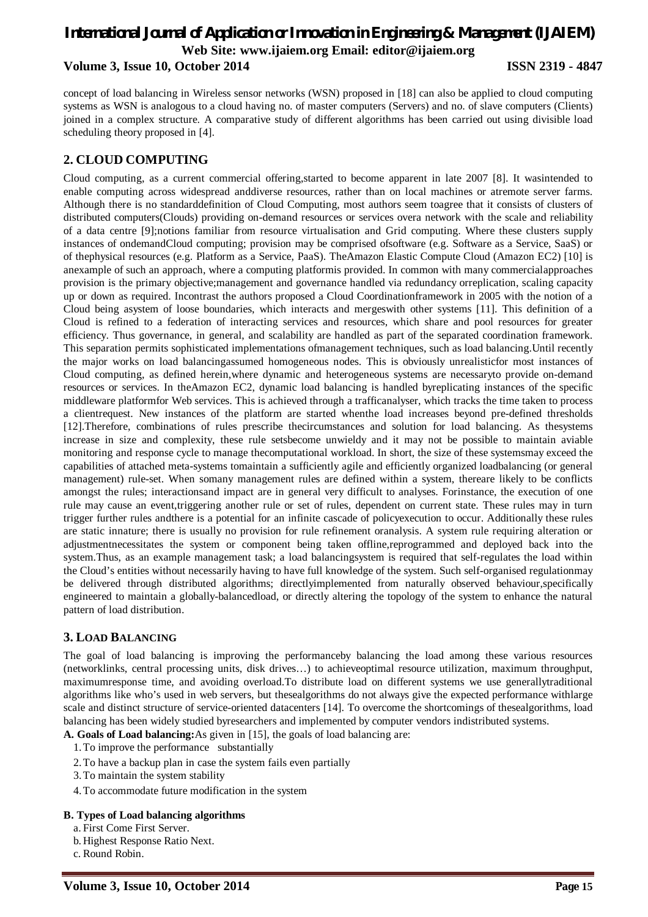### *International Journal of Application or Innovation in Engineering & Management (IJAIEM)* **Web Site: www.ijaiem.org Email: editor@ijaiem.org Volume 3, Issue 10, October 2014 ISSN 2319 - 4847**

concept of load balancing in Wireless sensor networks (WSN) proposed in [18] can also be applied to cloud computing systems as WSN is analogous to a cloud having no. of master computers (Servers) and no. of slave computers (Clients) joined in a complex structure. A comparative study of different algorithms has been carried out using divisible load scheduling theory proposed in [4].

#### **2. CLOUD COMPUTING**

Cloud computing, as a current commercial offering,started to become apparent in late 2007 [8]. It wasintended to enable computing across widespread anddiverse resources, rather than on local machines or atremote server farms. Although there is no standarddefinition of Cloud Computing, most authors seem toagree that it consists of clusters of distributed computers(Clouds) providing on-demand resources or services overa network with the scale and reliability of a data centre [9];notions familiar from resource virtualisation and Grid computing. Where these clusters supply instances of ondemandCloud computing; provision may be comprised ofsoftware (e.g. Software as a Service, SaaS) or of thephysical resources (e.g. Platform as a Service, PaaS). TheAmazon Elastic Compute Cloud (Amazon EC2) [10] is anexample of such an approach, where a computing platformis provided. In common with many commercialapproaches provision is the primary objective;management and governance handled via redundancy orreplication, scaling capacity up or down as required. Incontrast the authors proposed a Cloud Coordinationframework in 2005 with the notion of a Cloud being asystem of loose boundaries, which interacts and mergeswith other systems [11]. This definition of a Cloud is refined to a federation of interacting services and resources, which share and pool resources for greater efficiency. Thus governance, in general, and scalability are handled as part of the separated coordination framework. This separation permits sophisticated implementations ofmanagement techniques, such as load balancing.Until recently the major works on load balancingassumed homogeneous nodes. This is obviously unrealisticfor most instances of Cloud computing, as defined herein,where dynamic and heterogeneous systems are necessaryto provide on-demand resources or services. In theAmazon EC2, dynamic load balancing is handled byreplicating instances of the specific middleware platformfor Web services. This is achieved through a trafficanalyser, which tracks the time taken to process a clientrequest. New instances of the platform are started whenthe load increases beyond pre-defined thresholds [12].Therefore, combinations of rules prescribe thecircumstances and solution for load balancing. As thesystems increase in size and complexity, these rule setsbecome unwieldy and it may not be possible to maintain aviable monitoring and response cycle to manage thecomputational workload. In short, the size of these systemsmay exceed the capabilities of attached meta-systems tomaintain a sufficiently agile and efficiently organized loadbalancing (or general management) rule-set. When somany management rules are defined within a system, thereare likely to be conflicts amongst the rules; interactionsand impact are in general very difficult to analyses. Forinstance, the execution of one rule may cause an event,triggering another rule or set of rules, dependent on current state. These rules may in turn trigger further rules andthere is a potential for an infinite cascade of policyexecution to occur. Additionally these rules are static innature; there is usually no provision for rule refinement oranalysis. A system rule requiring alteration or adjustmentnecessitates the system or component being taken offline,reprogrammed and deployed back into the system.Thus, as an example management task; a load balancingsystem is required that self-regulates the load within the Cloud's entities without necessarily having to have full knowledge of the system. Such self-organised regulationmay be delivered through distributed algorithms; directlyimplemented from naturally observed behaviour,specifically engineered to maintain a globally-balancedload, or directly altering the topology of the system to enhance the natural pattern of load distribution.

#### **3. LOAD BALANCING**

The goal of load balancing is improving the performanceby balancing the load among these various resources (networklinks, central processing units, disk drives…) to achieveoptimal resource utilization, maximum throughput, maximumresponse time, and avoiding overload.To distribute load on different systems we use generallytraditional algorithms like who's used in web servers, but thesealgorithms do not always give the expected performance withlarge scale and distinct structure of service-oriented datacenters [14]. To overcome the shortcomings of thesealgorithms, load balancing has been widely studied byresearchers and implemented by computer vendors indistributed systems.

**A. Goals of Load balancing:**As given in [15], the goals of load balancing are:

- 1.To improve the performance substantially
- 2.To have a backup plan in case the system fails even partially
- 3.To maintain the system stability
- 4.To accommodate future modification in the system

#### **B. Types of Load balancing algorithms**

- a. First Come First Server.
- b. Highest Response Ratio Next.
- c. Round Robin.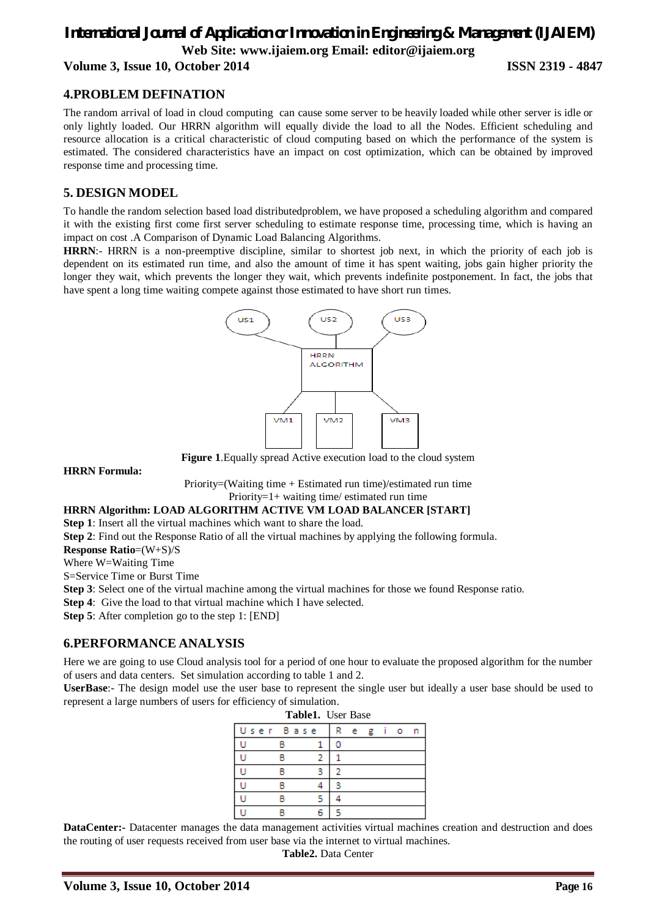### *International Journal of Application or Innovation in Engineering & Management (IJAIEM)* **Web Site: www.ijaiem.org Email: editor@ijaiem.org Volume 3, Issue 10, October 2014 ISSN 2319 - 4847**

#### **4.PROBLEM DEFINATION**

The random arrival of load in cloud computing can cause some server to be heavily loaded while other server is idle or only lightly loaded. Our HRRN algorithm will equally divide the load to all the Nodes. Efficient scheduling and resource allocation is a critical characteristic of cloud computing based on which the performance of the system is estimated. The considered characteristics have an impact on cost optimization, which can be obtained by improved response time and processing time.

### **5. DESIGN MODEL**

To handle the random selection based load distributedproblem, we have proposed a scheduling algorithm and compared it with the existing first come first server scheduling to estimate response time, processing time, which is having an impact on cost .A Comparison of Dynamic Load Balancing Algorithms.

**HRRN**:- HRRN is a non-preemptive discipline, similar to shortest job next, in which the priority of each job is dependent on its estimated run time, and also the amount of time it has spent waiting, jobs gain higher priority the longer they wait, which prevents the longer they wait, which prevents indefinite postponement. In fact, the jobs that have spent a long time waiting compete against those estimated to have short run times.



**Figure 1**.Equally spread Active execution load to the cloud system

**HRRN Formula:**

Priority=(Waiting time + Estimated run time)/estimated run time Priority=1+ waiting time/ estimated run time

#### **HRRN Algorithm: LOAD ALGORITHM ACTIVE VM LOAD BALANCER [START]**

**Step 1**: Insert all the virtual machines which want to share the load.

**Step 2**: Find out the Response Ratio of all the virtual machines by applying the following formula.

**Response Ratio**=(W+S)/S

Where W=Waiting Time

S=Service Time or Burst Time

**Step 3**: Select one of the virtual machine among the virtual machines for those we found Response ratio.

**Step 4:** Give the load to that virtual machine which I have selected.

**Step 5**: After completion go to the step 1: [END]

#### **6.PERFORMANCE ANALYSIS**

Here we are going to use Cloud analysis tool for a period of one hour to evaluate the proposed algorithm for the number of users and data centers. Set simulation according to table 1 and 2.

**UserBase**:- The design model use the user base to represent the single user but ideally a user base should be used to represent a large numbers of users for efficiency of simulation.

| Table1. User Base |           |  |   |   |   |  |         |   |  |  |  |  |  |
|-------------------|-----------|--|---|---|---|--|---------|---|--|--|--|--|--|
|                   | User Base |  | R | e | Æ |  | $\circ$ | n |  |  |  |  |  |
|                   |           |  |   |   |   |  |         |   |  |  |  |  |  |
|                   |           |  |   |   |   |  |         |   |  |  |  |  |  |
|                   |           |  |   |   |   |  |         |   |  |  |  |  |  |
|                   |           |  |   |   |   |  |         |   |  |  |  |  |  |
|                   |           |  |   |   |   |  |         |   |  |  |  |  |  |
|                   |           |  |   |   |   |  |         |   |  |  |  |  |  |

**DataCenter:-** Datacenter manages the data management activities virtual machines creation and destruction and does the routing of user requests received from user base via the internet to virtual machines.

**Table2.** Data Center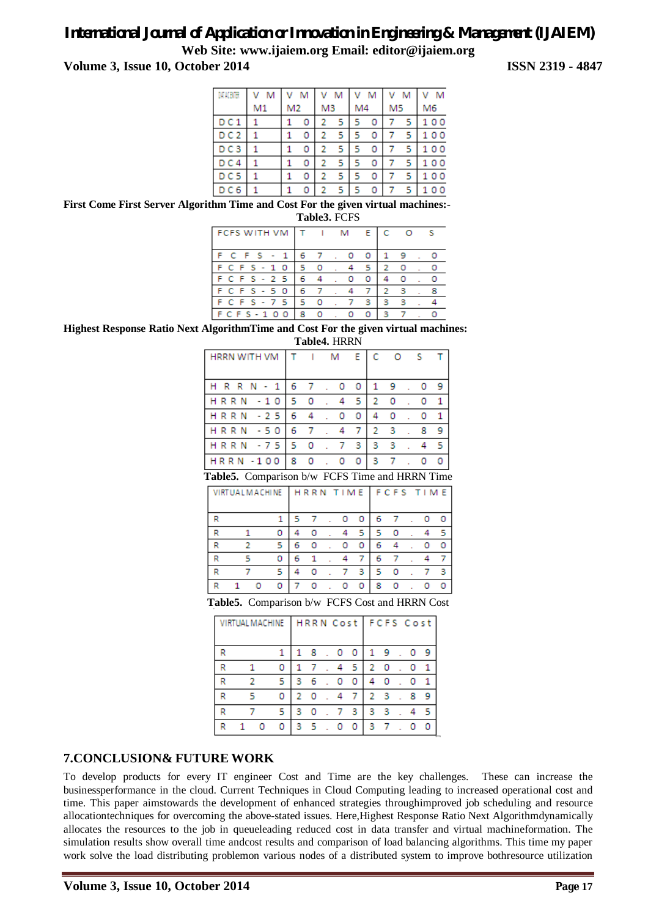## *International Journal of Application or Innovation in Engineering & Management (IJAIEM)*

**Web Site: www.ijaiem.org Email: editor@ijaiem.org**

**Volume 3, Issue 10, October 2014 ISSN 2319 - 4847**

| MACBOR          | v<br>м |                | M | ٧              | м   |    | V M | ٧              | M  | M        |
|-----------------|--------|----------------|---|----------------|-----|----|-----|----------------|----|----------|
|                 | M1     | M <sub>2</sub> |   | M <sub>3</sub> |     | M4 |     | M <sub>5</sub> |    | M6       |
| D C 1           |        |                | 0 | 2              | 5 I | 5  | 0   | 7              | 5. | 100      |
| DC <sub>2</sub> |        |                | 0 | 2              | 5   | 5  | 0   |                | 5  | 100      |
| DC3             |        |                | 0 | 2              | 5.  | 5  | 0   |                | 5  | 100      |
| DC4             |        |                | 0 |                | 5   |    | 0   |                | 5  | 00       |
| DC <sub>5</sub> |        |                | 0 | 2              | 5.  | 5  | 0   |                | 5  | 00<br>1. |
| D C 6           |        |                |   |                | 5   | 5  | 0   |                | 5  | 0<br>0   |

**First Come First Server Algorithm Time and Cost For the given virtual machines:- Table3.** FCFS

| <b>FCFS WITH VM</b> |     |         | м | E.  | -C           | $\circ$ | -S |
|---------------------|-----|---------|---|-----|--------------|---------|----|
| F C F S - 1         | 6 7 |         |   | o   | $\mathbf{1}$ | - 9     |    |
| F C F S - 1 0       | 5.  | $\circ$ |   | -51 | 2            | $\circ$ |    |
| F C F S - 2 5       | 6.  |         |   | o   |              |         |    |
| $FCFS - 50$         | 6   |         |   | 7   | 2            | з       |    |
| F C F S - 7 5       | 5   |         |   | з.  | з            | з       |    |
| F C F S - 1 0 0     | 8   | $\circ$ |   | ο   | з            |         |    |

**Highest Response Ratio Next AlgorithmTime and Cost For the given virtual machines: Table4.** HRRN

| HRRN WITH VM T I M E C O S T                   |  |  |  |  |              |   |                             |  |  |              |  |  |
|------------------------------------------------|--|--|--|--|--------------|---|-----------------------------|--|--|--------------|--|--|
| HRRN-1 67.00                                   |  |  |  |  |              |   | 19.0                        |  |  | - 9          |  |  |
| HRRN -10 50.45                                 |  |  |  |  |              |   | $2 \quad 0 \quad . \quad 0$ |  |  | $\mathbf{1}$ |  |  |
| HRRN - 25 6 4 . 0                              |  |  |  |  | $\mathbf{O}$ | 4 | $0 \cdot 0$                 |  |  |              |  |  |
| HRRN - 50   67.4                               |  |  |  |  | -71          |   | $2 \quad 3 \quad . \quad 8$ |  |  | - Q          |  |  |
| HRRN - 75 5 0 . 7 3                            |  |  |  |  |              |   | $3 \quad 3$                 |  |  | -5           |  |  |
| HRRN - 100 8 0 . 0 0                           |  |  |  |  |              |   | $3 \quad 7 \quad .$         |  |  |              |  |  |
| Table5. Comparison b/w FCFS Time and HRRN Time |  |  |  |  |              |   |                             |  |  |              |  |  |

|   | <b>VIRTUAL MACHINE</b> |  | HRRN TIME   FCFS TIME |   |    |   |          |    |         |  |    |
|---|------------------------|--|-----------------------|---|----|---|----------|----|---------|--|----|
| R |                        |  |                       | 5 | 7  | ٥ | $\Omega$ | 6. |         |  |    |
| R |                        |  |                       |   |    |   | 5.       | 5  |         |  | -5 |
| R |                        |  | 5                     | 6 |    | o | Ω        | 6  |         |  |    |
| R |                        |  |                       | 6 | -1 |   | 7        | 6  |         |  | 7  |
| R |                        |  | ч                     | 4 | o  |   | з        | 5  | $\circ$ |  | -3 |
|   |                        |  | o                     |   | ο  |   | o        | 8  | $\circ$ |  |    |
|   |                        |  |                       |   |    |   |          |    |         |  |    |

**Table5.** Comparison b/w FCFS Cost and HRRN Cost

|   |   |  |         |              |                   |    | VIRTUALMACHINE   HRRN Cost   FCFS Cost |           |                |               |     |         |         |
|---|---|--|---------|--------------|-------------------|----|----------------------------------------|-----------|----------------|---------------|-----|---------|---------|
|   |   |  |         |              | 18.00             |    |                                        |           | 19             |               |     | . 0     | - 9     |
| R | 1 |  | 0       | 1            | -7                |    |                                        | .45       | 2 0            |               | . 0 |         | -1      |
| R |   |  | -5      | $\mathbf{3}$ | - 6               |    | $\cdot$ 0                              | - 0       | 40             |               |     | $\circ$ | -1      |
| R |   |  | 0.      | 2            | - 0               | ÷. | $\overline{4}$                         | $-7.5$    |                | $2 \cdot 3$ . |     | -8      | -9      |
| R |   |  | 5       | з            | - 0               |    | .73                                    |           | 3 <sub>3</sub> |               |     |         | -5      |
| D |   |  | $\circ$ |              | $3\quad 5\quad$ . |    | 0                                      | $\bullet$ | 37             |               |     |         | $\circ$ |

### **7.CONCLUSION& FUTURE WORK**

To develop products for every IT engineer Cost and Time are the key challenges. These can increase the businessperformance in the cloud. Current Techniques in Cloud Computing leading to increased operational cost and time. This paper aimstowards the development of enhanced strategies throughimproved job scheduling and resource allocationtechniques for overcoming the above-stated issues. Here,Highest Response Ratio Next Algorithmdynamically allocates the resources to the job in queueleading reduced cost in data transfer and virtual machineformation. The simulation results show overall time andcost results and comparison of load balancing algorithms. This time my paper work solve the load distributing problemon various nodes of a distributed system to improve bothresource utilization